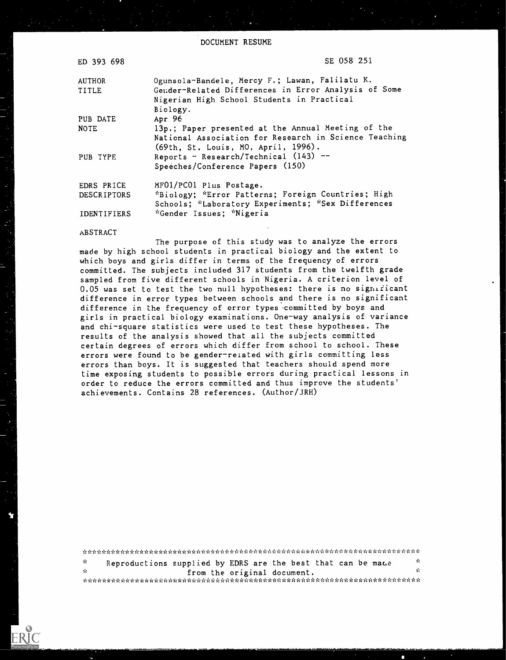DOCUMENT RESUME

| ED 393 698         | SE 058 251                                                                                                                                         |
|--------------------|----------------------------------------------------------------------------------------------------------------------------------------------------|
| AUTHOR<br>TITLE    | Ogunsola-Bandele, Mercy F.; Lawan, Falilatu K.<br>Gender-Related Differences in Error Analysis of Some                                             |
|                    | Nigerian High School Students in Practical<br>Biology.                                                                                             |
| PUB DATE           | Apr $96$                                                                                                                                           |
| <b>NOTE</b>        | 13p.; Paper presented at the Annual Meeting of the<br>National Association for Research in Science Teaching<br>(69th, St. Louis, MO, April, 1996). |
| PUB TYPE           | Reports - Research/Technical (143) --<br>Speeches/Conference Papers (150)                                                                          |
| EDRS PRICE         | MF01/PC01 Plus Postage.                                                                                                                            |
| <b>DESCRIPTORS</b> | *Biology: *Error Patterns; Foreign Countries; High<br>Schools; *Laboratory Experiments; *Sex Differences                                           |
| <b>IDENTIFIERS</b> | *Gender Issues; *Nigeria                                                                                                                           |

#### ABSTRACT

The purpose of this study was to analyze the errors made by high school students in practical biology and the extent to which boys and girls differ in terms of the frequency of errors committed. The subjects included 317 students from the twelfth grade sampled from five different schools in Nigeria. A criterion level of 0.05 was set to test the two null hypotheses: there is no significant difference in error types between schools and there is no significant difference in the frequency of error types committed by boys and girls in practical biology examinations. One-way analysis of variance and chi-square statistics were used to test these hypotheses. The results of the analysis showed that all the subjects committed certain degrees of errors which differ from school to school. These errors were found to be gender-related with girls committing less errors than boys. It is suggested that teachers should spend more time exposing students to possible errors during practical lessons in order to reduce the errors committed and thus improve the students' achievements. Contains 28 references. (Author/JRH)

int in internity internity internity internity internity internet internet internet internet internet internet internet internet  $\mathbf{r}$  $\mathbf{y}^{\prime}_{\mathbf{t}}$ Reproductions supplied by EDRS are the best that can be made  $\mathbf{x}$  $\dot{\rm x}$ from the original document.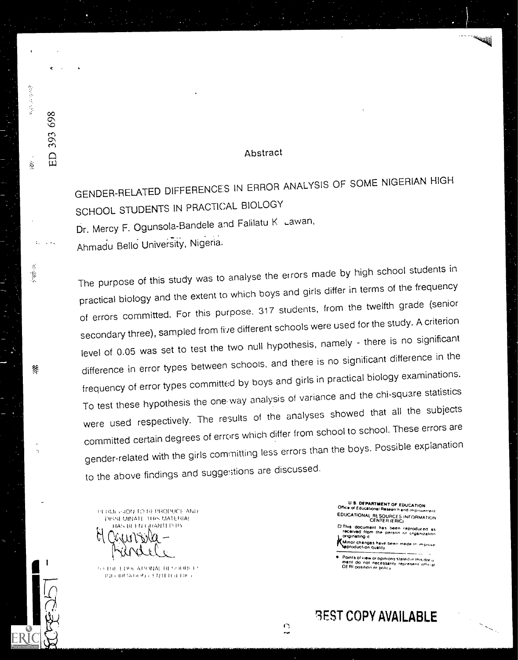### Abstract

GENDER-RELATED DIFFERENCES IN ERROR ANALYSIS OF SOME NIGERIAN HIGH SCHOOL STUDENTS IN PRACTICAL BIOLOGY Dr. Mercy F. Ogunsola-Bandele and Falilatu K Lawan, Ahmadu Bello University, Nigeria.

The purpose of this study was to analyse the errors made by high school students in practical biology and the extent to which boys and girls differ in terms of the frequency of errors committed. For this purpose, 317 students, from the twelfth grade (senior secondary three), sampled from five different schools were used for the study. A criterion level of 0.05 was set to test the two null hypothesis, namely - there is no significant difference in error types between schools, and there is no significant difference in the frequency of error types committed by boys and girls in practical biology examinations. To test these hypothesis the one way analysis of variance and the chi-square statistics were used respectively. The results of the analyses showed that all the subjects committed certain degrees of errors which differ from school to school. These errors are gender-related with the girls committing less errors than the boys. Possible explanation to the above findings and suggestions are discussed.

 $\frac{1}{2}$ 

PERMENTO REPRODUCE AND **DISSEMINATE THIS MATERIAL** HAS BEEN GRANTED BY

医单位 化学

 $\tilde{\mathcal{Q}}$ 

 $\ddot{\phantom{a}}$ 

-9  $\frac{1}{2}$ 

8f

393 698

ED

SATUE EDPEATIONAL RESOURCE RECRUITING CHAIR (ED)

U S. DEPARTMENT OF EDUCATION<br>Office of Educational Research and Improver EDUCATIONAL RESOURCES INFORMATION

El This document has been reproduced as<br>received from the person or organization originating it Minor changes have been made in improve

Points of view or opinions stated in this document.<br>ment. do. not. necessarily, represent infliciar ment do not necessar<br>OERI position or policy

**BEST COPY AVAILABLE**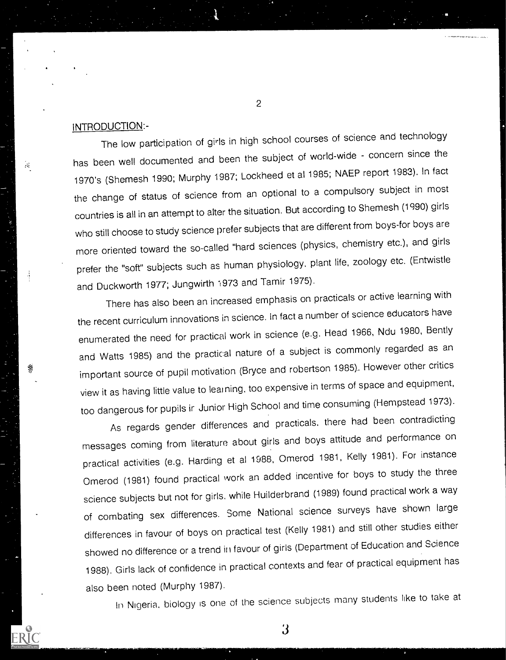## INTRODUCTION:-

 $\mathcal{H}_\mathrm{c}$ 

The low participation of girls in high school courses of science and technology has been well documented and been the subject of world-wide - concern since the 1970's (Shemesh 1990; Murphy 1987; Lockheed et al 1985; NAEP report 1983). In fact the change of status of science from an optional to a compulsory subject in most countries is all in an attempt to alter the situation. But according to Shemesh (1990) girls who still choose to study science prefer subjects that are different from boys-for boys are more oriented toward the so-called "hard sciences (physics, chemistry etc.), and girls prefer the "soft" subjects such as human physiology, plant life, zoology etc. (Entwistle and Duckworth 1977; Jungwirth 1973 and Tamir 1975).

There has also been an increased emphasis on practicals or active learning with the recent curriculum innovations in science. In fact a number of science educators have enumerated the need for practical work in science (e.g. Head 1966, Ndu 1980, Bently and Watts 1985) and the practical nature of a subject is commonly regarded as an important source of pupil motivation (Bryce and robertson 1985). However other critics view it as having little value to learning, too expensive in terms of space and equipment, too dangerous for pupils ir Junior High School and time consuming (Hernpstead 1973).

As regards gender differences and practicals. there had been contradicting messages coming from literature about girls and boys attitude and performance on practical activities (e.g. Harding et al 1988, Omerod 1981, Kelly 1981). For instance Omerod (1981) found practical work an added incentive for boys to study the three science subjects but not for girls, while Huilderbrand (1989) found practical work a way of combating sex differences. Some National science surveys have shown large differences in favour of boys on practical test (Kelly 1981) and still other studies either showed no difference or a trend in favour of girls (Department of Education and Science 1988). Girls lack of confidence in practical contexts and fear of practical equipment has also been noted (Murphy 1987).

In Nigeria, biology is one of the science subjects many students like to take at

3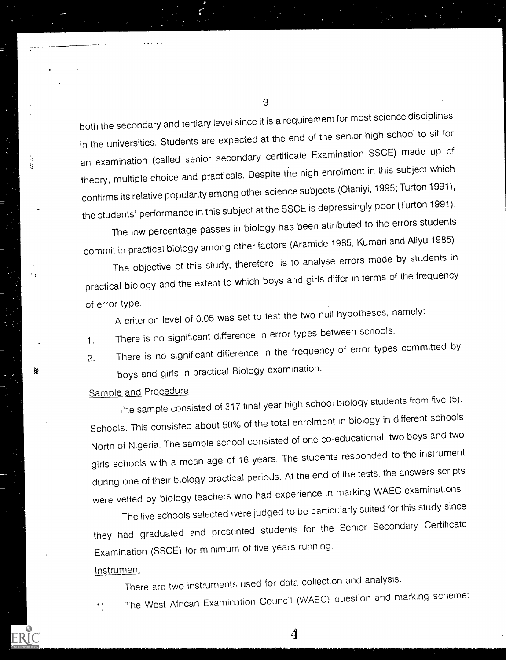both the secondary and tertiary level since it is a requirement for most science disciplines in the universities. Students are expected at the end of the senior high school to sit for an examination (called senior secondary certificate Examination SSCE) made up of theory, multiple choice and practicals. Despite the high enrolment in this subject which confirms its relative popularity among other science subjects (Olaniyi, 1995; Turton 1991), the students' performance in this subject at the SSCE is depressingly poor (Turton 1991).

The low percentage passes in biology has been attributed to the errors students commit in practical biology amorg other factors (Aramide 1985, Kumari and Aliyu 1985).

The objective of this study, therefore, is to analyse errors made by students in practical biology and the extent to which boys and girls differ in terms of the frequency of error type.

A criterion level of 0.05 was set to test the two null hypotheses, namely:

1. There is no significant difference in error types between schools.

2. There is no significant difference in the frequency of error types committed by boys and girls in practical Biology examination.

# Sample and Procedure

÷,

铩

The sample consisted of 217 final year high school biology students from five (5). Schools. This consisted about 50% of the total enrolment in biology in different schools North of Nigeria. The sample school consisted of one co-educational, two boys and two girls schools with a mean age et 16 years. The students responded to the instrument during one of their biology practical perioJs. At the end of the tests, the answers scripts were vetted by biology teachers who had experience in marking WAEC examinations.

The five schools selected were judged to be particularly suited for this study since they had graduated and presented students for the Senior Secondary Certificate Examination (SSCE) for minimum of five years running.

### Instrument

There are two instruments used for data collection and analysis.

1) The West African Examination Council (WAEC) question and marking scheme:

4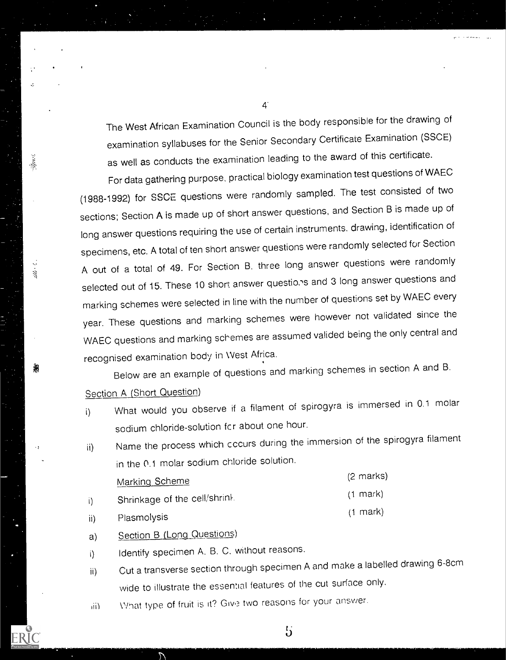The West African Examination Council is the body responsible for the drawing of examination syllabuses for the Senior Secondary Certificate Examination (SSCE) as well as conducts the examination leading to the award of this certificate.

For data gathering purpose, practical biology examination test questions of WAEC (1988-1992) for SSCE questions were randomly sampled. The test consisted of two sections; Section A is made up of short answer questions, and Section B is made up of long answer questions requiring the use of certain instruments, drawing, identification of specimens, etc. A total of ten short answer questions were randomly selected for Section A out of a total of 49. For Section B. three long answer questions were randomly selected out of 15. These 10 short answer questions and 3 long answer questions and marking schemes were selected in line with the number of questions set by WAEC every year. These questions and marking schemes were however not validated since the WAEC questions and marking schemes are assumed valided being the only central and recognised examination body in West Africa.

Below are an example of questions and marking schemes in section A and B.

Section A (Short Question)

 $\frac{1}{2}$ 

- i) What would you observe if a filament of spirogyra is immersed in 0.1 molar sodium chloride-solution fcr about one hour.
- ii) Name the process which cccurs during the immersion of the spirogyra filament in the 0.1 molar sodium chloride solution.

|     | Marking Scheme               | $(2 \text{ marks})$ |
|-----|------------------------------|---------------------|
|     | Shrinkage of the cell/shrink | $(1)$ mark)         |
| ii) | Plasmolysis                  | $(1)$ mark)         |

- 
- a) Section B (Long Questions)
- i) Identify specimen A. B. C. without reasons.
- ii) Cut a transverse section through specimen A and make a labelled drawing 6-8cm wide to illustrate the essential features of the cut surface only.

 $5\overline{5}$ 

iii) What type of fruit is it? Give two reasons for your answer.

4.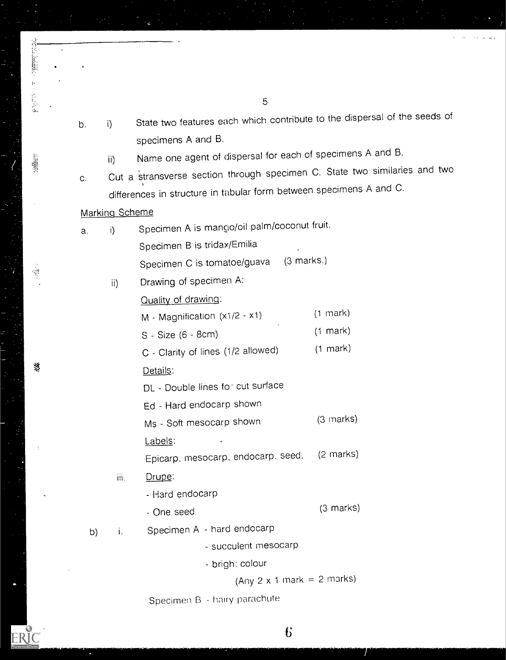- b. i) State two features each which contribute to the dispersal of the seeds of specimens A and B.
	- ii) Name one agent of dispersal for each of specimens A and B.
- c. Cut a stransverse section through specimen C. State two similaries and two differences in structure in tabular form between specimens A and C.

## Marking Scheme

 $\mathbb{S}^0_2$ 

纂

ERIC

| a. | i)   | Specimen A is mango/oil palm/coconut fruit. |                     |  |  |
|----|------|---------------------------------------------|---------------------|--|--|
|    |      | Specimen B is tridax/Emilia                 |                     |  |  |
|    |      | Specimen C is tomatoe/guava (3 marks.)      |                     |  |  |
|    | ii)  | Drawing of specimen A:                      |                     |  |  |
|    |      | Quality of drawing:                         |                     |  |  |
|    |      | M - Magnification (x1/2 - x1)               | $(1 \text{ mark})$  |  |  |
|    |      | S - Size (6 - 8cm)                          | $(1$ mark)          |  |  |
|    |      | C - Clarity of lines (1/2 allowed)          | $(1$ mark)          |  |  |
|    |      | Details:                                    |                     |  |  |
|    |      | DL - Double lines for cut surface           |                     |  |  |
|    |      | Ed - Hard endocarp shown                    |                     |  |  |
|    |      | Ms - Soft mesocarp shown                    | $(3 \text{ marks})$ |  |  |
|    |      | Labels:                                     |                     |  |  |
|    |      | Epicarp, mesocarp, endocarp. seed.          | $(2 \text{ marks})$ |  |  |
|    | iii. | Drupe:                                      |                     |  |  |
|    |      | - Hard endocarp                             |                     |  |  |
|    |      | - One seed                                  | $(3 \text{ marks})$ |  |  |
| b) | j,   | Specimen A - hard endocarp                  |                     |  |  |
|    |      | - succulent mesocarp                        |                     |  |  |
|    |      | - brigh: colour                             |                     |  |  |
|    |      |                                             |                     |  |  |

(Any  $2 \times 1$  mark =  $2$  marks)

Specimen B - hairy parachute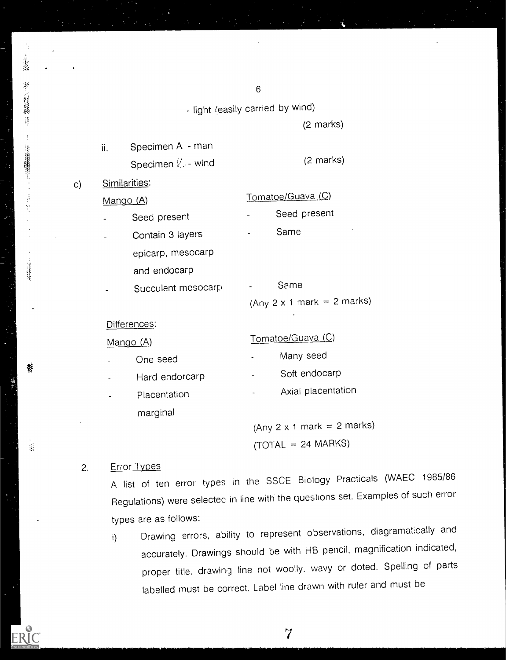6 - light (easily carried by wind) (2 marks) Specimen A - man ii. Specimen  $\mathbb{K}$  - wind (2 marks) c) Similarities: Mango (A) Tomatoe/Guava (C) Seed present The Seed present Contain 3 layers **Same** epicarp, mesocarp and endocarp Succulent mesocarp [155] Same (Any  $2 \times 1$  mark =  $2$  marks) Differences: Mango (A) Tomatoe/Guaya (C) One seed Many seed Hard endorcarp Fig. 50ft endocarp Placentation **Axial placentation Axial placentation** 

> (Any  $2 \times 1$  mark =  $2$  marks)  $(TOTAL = 24 \text{ MARKS})$

## 2. Error Types

**樹上推舉 非一十里編編書 二十三十二** 

蔡

 $\frac{1}{124}$ 

marginal

A list of ten error types in the SSCE Biology Practicals (WAEC 1985/86 Regulations) were selectec in line with the questions set. Examples of such error types are as follows:

i) Drawing errors, ability to represent observations, diagramatically and accurately. Drawings should be with HB pencil, magnification indicated, proper title, drawing line not woolly, wavy or doted. Spelling of parts labelled must be correct. Label line drawn with ruler and must be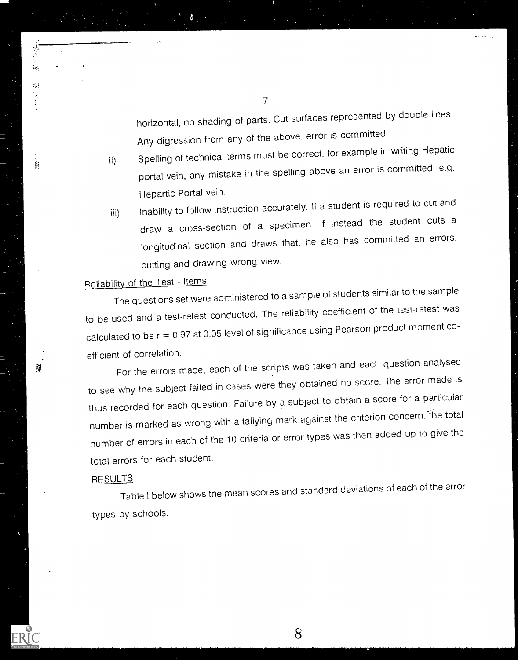horizontal, no shading of parts. Cut surfaces represented by double lines. Any digression from any of the above, error is committed.

- ii) Spelling of technical terms must be correct, for example in writing Hepatic portal vein, any mistake in the spelling above an error is committed, e.g. Hepartic Portal vein.
- iii) Inability to follow instruction accurately. If a student is required to cut and draw a cross-section of a specimen. if instead the student cuts a longitudinal section and draws that, he also has committed an errors, cutting and drawing wrong view.

# P.eliability of the Test - Items

 $\lesssim 3$ 

潜

The questions set were administered to a sample of students similar to the sample to be used and a test-retest conducted. The reliability coefficient of the test-retest was calculated to be r = 0.97 at 0.05 level of significance using Pearson product moment coefficient of correlation.

For the errors made, each of the scripts was taken and each question analysed to see why the subject failed in cases were they obtained no score. The error made is thus recorded for each question. Failure by a subject to obtain a score for a particular number is marked as wrong with a tallying mark against the criterion concern. the total number of errors in each of the 10 criteria or error types was then added up to give the total errors for each student.

### RESULTS **RESULTS**

Table I below shows the mean scores and standard deviations of each of the error types by schools.

8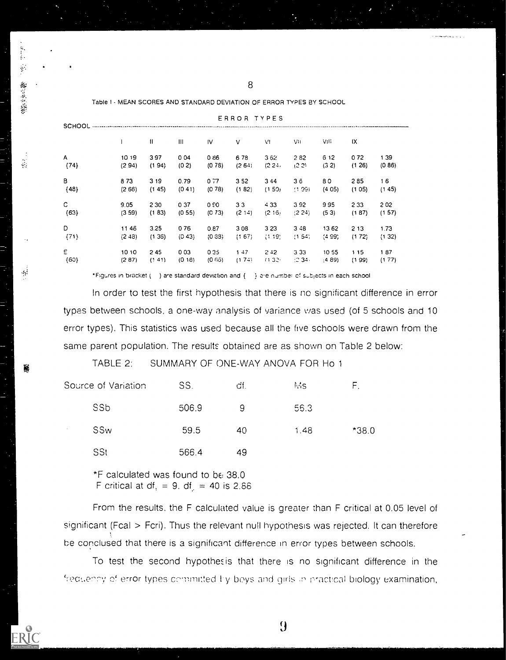| <b>SCHOOL</b> |         | ERROR TYPES |        |         |         |        |                 |        |       |        |
|---------------|---------|-------------|--------|---------|---------|--------|-----------------|--------|-------|--------|
|               |         | Ħ           | Ш      | IV      | ν       | V!     | VIJ             | VIII   | ΙX    |        |
| A             | 10 19   | 397         | 004    | 086     | 678     | 362    | 282             | 6 12   | 072   | 139    |
| ${74}$        | (294)   | (194)       | (0, 2) | (0, 78) | (264)   | (224)  | (2.2)           | (32)   | (126) | (0.86) |
| в             | 873     | 3 19        | 0.79   | 0.77    | 352     | 3 4 4  | $3\ddot{\circ}$ | 80     | 285   | 16     |
| ${48}$        | (2 66)  | (145)       | (0.41) | (0.78)  | (182)   | (150)  | (1.99)          | (405)  | (105) | (145)  |
| C.            | 9.05    | 2 3 0       | 037    | 0.90    | 33      | 433    | 392             | 995    | 233   | 202    |
| ${63}$        | (3.59)  | (1 83)      | (0.55) | (C 73)  | (2, 14) | (2.16) | (2.24)          | (53)   | (187) | (157)  |
| D             | 1146    | 3.25        | 076    | 0.87    | 308     | 3 2 3  | $3 - 8$         | 1362   | 213   | 1.73   |
| (71)          | (2, 43) | (136)       | (0.43) | (0.33)  | (167)   | (1.19) | (1.54)          | (4.99) | (172) | (132)  |
| E.            | 1010    | 245         | 003    | 035     | 1.47    | 2.42   | 333             | 1055   | 115   | 187    |
| ${60}$        | (287)   | (141)       | (018)  | (0.66)  | (174)   | (132)  | (2.34)          | (4.89) | (199) | (177)  |

ERROR

Table I - MEAN SCORES AND STANDARD DEVIATION OF ERROR TYPES BY SCHOOL

**御言葉堂** 

 $\frac{1}{2}$ 

 $\ddot{\psi}$ 

\*Figures in bracket ( ) are standard deviation and { } are number of subjects in each school

In order to test the first hypothesis that there is nc significant difference in error types between schools, a one-way analysis of variance was used (of 5 schools and 10 error types). This statistics was used because all the five schools were drawn from the same parent population. The results obtained are as shown on Table 2 below:

TABLE 2: SUMMARY OF ONE-WAY ANOVA FOR Ho 1

|                      | Source of Variation | SS.   | df. | Ms.  | ⊢.      |
|----------------------|---------------------|-------|-----|------|---------|
|                      | SSb                 | 506.9 | 9   | 56.3 |         |
| $\ddot{\phantom{1}}$ | SSw                 | 59.5  | 40  | 1.48 | $*38.0$ |
|                      | SSt                 | 566.4 | 49  |      |         |

\*F calculated was found to be 38.0 F critical at df, = 9. df, = 40 is  $2.88$ 

From the results, the F calculated value is greater than F critical at 0.05 level of significant (Fcal > Fcri). Thus the relevant null hypothesis was rejected. It can therefore be conclused that there is a significant difference in error types between schools.

To test the second hypothesis that there is no significant difference in the frequency of error types committed by boys and girls in practical biology examination,

9

8

The second control of the second

الرابيد وتلاحظه والمستحدة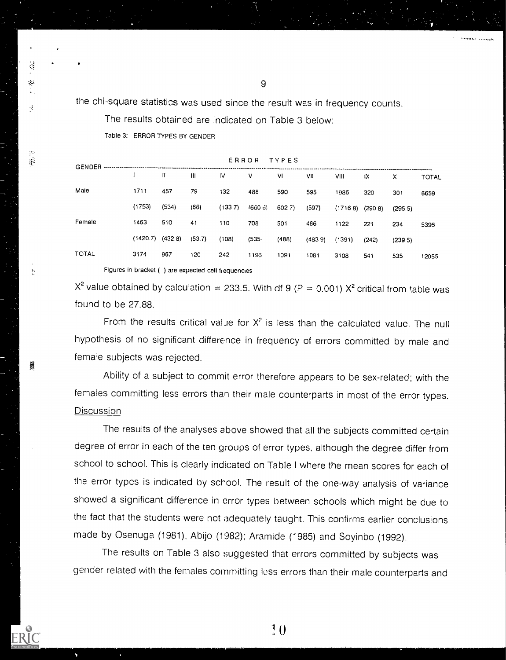the chi-square statistics was used since the result was in frequency counts.

The results obtained are indicated on Table 3 below:

Table 3: ERROR TYPES BY GENDER

4

 $\mathcal{P}^{\mathcal{P}}$  $\hat{\mathcal{R}}$ 

 $\mathcal{D}$ 

嶶

|              | ERROR TYFES<br>GENDER ------------------------------ |              |              |        |          |       |         |                    |       |         |              |
|--------------|------------------------------------------------------|--------------|--------------|--------|----------|-------|---------|--------------------|-------|---------|--------------|
|              |                                                      | $\mathbf{H}$ | $\mathbf{H}$ | 1V     | $\vee$   | VI    | VII     | VIII               | łХ    | x       | <b>TOTAL</b> |
| Male         | 1711                                                 | 457          | 79           | 132    | 488      | 590   | 595     | 1986               | 320   | 301     | 6659         |
|              | (1753)                                               | (534)        | (66)         | (1337) | /660 პ)  | 6027  | (597)   | $(17168)$ $(2908)$ |       | (295.5) |              |
| Female       | 1463                                                 | 510          | 41           | 110    | 708      | 501   | 486     | 1122               | 221   | 234     | 5396         |
|              | (1420.7)                                             | (432.8)      | (53.7)       | (108)  | $(535 -$ | (488) | (483.9) | (1391)             | (242) | (239.5) |              |
| <b>TOTAL</b> | 3174                                                 | 967          | 120          | 242    | 1196     | 1091  | 1081    | 3108               | 541   | 535     | 12055        |
|              |                                                      |              |              |        |          |       |         |                    |       |         |              |

Figures in bracket ( ) are expected cell frequencies

 $X^2$  value obtained by calculation = 233.5. With df 9 (P = 0.001)  $X^2$  critical from table was found to be 27.88.

From the results critical value for  $X^2$  is less than the calculated value. The null hypothesis of no significant difference in frequency of errors committed by male and female subjects was rejected.

Ability of a subject to commit error therefore appears to be sex-related; with the females committing less errors than their male counterparts in most of the error types. Discussion

The results of the analyses above showed that all the subjects committed certain degree of error in each of the ten groups of error types, although the degree differ from school to school. This is clearly indicated on Table I where the mean scores for each of the error types is indicated by school. The result of the one-way analysis of variance showed a significant difference in error types between schools which might be due to the fact that the students were not adequately taught. This confirms earlier conclusions made by Osenuga (1981). Abijo (1982); Aramide (1985) and Soyinbo (1992).

The results on Table 3 also suggested that errors committed by subjects was gender related with the females committing less errors than their male counterparts and

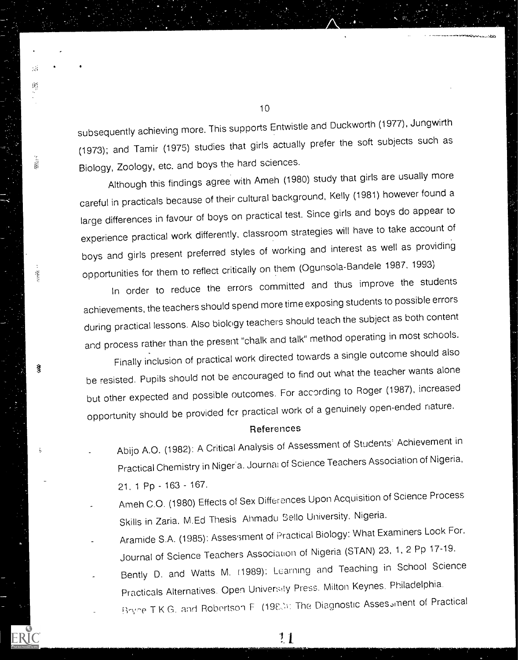subsequently achieving more. This supports Entwistle and Duckworth (1977), Jungwirth (1973); and Tamir (1975) studies that girls actually prefer the soft subjects such as Biology, Zoology, etc. and boys the hard sciences.

Although this findings agree with Ameh (1980) study that girls are usually more careful in practicals because of their cultural background, Kelly (1981) however found a large differences in favour of boys on practical test. Since girls and boys do appear to experience practical work differently, classroom strategies will have to take account of boys and girls present preferred styles of working and interest as well as providing opportunities for them to reflect critically on them (Ogunsola-Bandele 1987. 1993)

in order to reduce the errors committed and thus improve the students achievements, the teachers should spend more time exposing students to possible errors during practical lessons. Also biology teachers should teach the subject as both content and process rather than the present "chalk and talk" method operating in most schools.

Finally inclusion of practical work directed towards a single outcome should also be resisted. Pupils should not be encouraged to find out what the teacher wants alone but other expected and possible outcomes. For according to Roger (1987), increased opportunity should be provided fcr practical work of a genuinely open-ended nature.

#### **References**

- Abijo A.O. (1982): A Critical Analysis of Assessment of Students' Achievement in Practical Chemistry in Nigeria. Journa: of Science Teachers Association of Nigeria, 21. 1 Pp - 163 - 167.
- Ameh C.O. (1980) Effects of Sex Differences Upon Acquisition of Science Process Skills in Zaria. M.Ed Thesis Ahrnadu Bello University. Nigeria.
- Aramide S.A. (1985): Asses sment of Practical Biology: What Examiners Look For. Journal of Science Teachers Association of Nigeria (STAN) 23, 1, 2 Pp 17-19.
- Bently D. and Watts M. (1989): Learning and Teaching in School Science Practicals Alternatives. Open University Press. Milton Keynes. Philadelphia.
	- T K G. and Robertson F (19F2.): The Diagnostic Assesoment of Practical

 $11$ 

 $\sim$ 

 $\frac{1}{2}$ 

Ť

है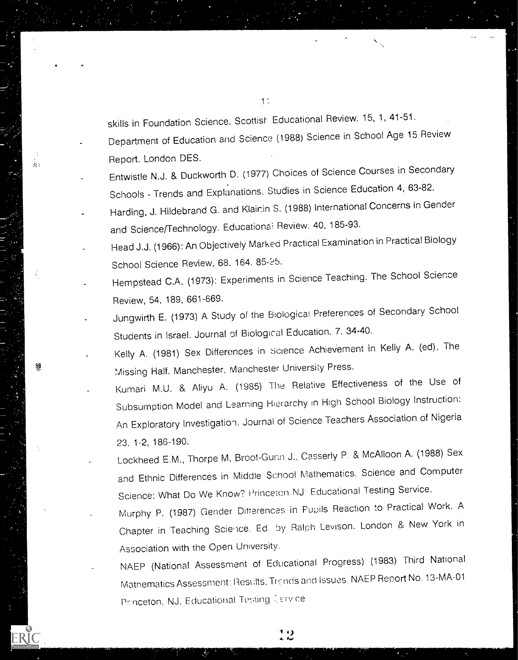skills in Foundation Science. Scottish Educational Review. 15, 1, 41-51.

Department of Education and Science (1988) Science in School Age 15 Review Report. London DES.

Entwistle N.J. & Duckworth D. (1977) Choices of Science Courses in Secondary Schools - Trends and Explanations. Studies in Science Education 4, 63-82.

 $\hat{a}_i$  :

綨

- Harding, J. Hildebrand G. and Klair.in S. (1988) International Concerns in Gender and Science/Technology. Educationa: Review. 40, 185-93.
- Head J.J. (1966): An Objectively Marked Practical Examination in Practical Biology School Science Review, 68, 164, 85-25.
- Hempstead C.A. (1973): Experiments in Science Teaching. The School Science Review, 54, 189, 661-669.
- Jungwirth E. (1973) A Study of the Biological Preferences of Secondary School Students in Israel. Journal of Biological Education. 7, 34-40.
- Kelly A. (1981) Sex Differences in Science Achievement in Kelly A. (ed). The Missing Half. Manchester, Manchester University Press.
- Kumari M.U. & Aliyu A. (1985) The Relative Effectiveness of the Use of Subsumption Model and Learning Hierarchy in High School Biology Instruction: An Exploratory Investigation. Journal of Science Teachers Association of Nigeria 23. 1-2, 186-190.
	- Lockheed E.M., Thorpe M. Broot-Gunn J., Casserly P. & McAlloon A. (1988) Sex and Ethnic Differences in Middle School Mathematics. Science and Computer Science: What Do We Know? Princeton NJ Educational Testing Service.
	- Murphy P. (1987) Gender Differences in Pupils Reaction to Practical Work. A Chapter in Teaching Scie,ice. Ed. by Ralph Levison. London & New York in Association with the Open University.
	- NAEP (National Assessment of Educational Progress) (1983) Third National Mathematics Assessment: Rest:lts, Trc nds and Issues. NAEP Report No. 13-MA-01 Princeton. NJ. Educational Testing Tervice

ر، م